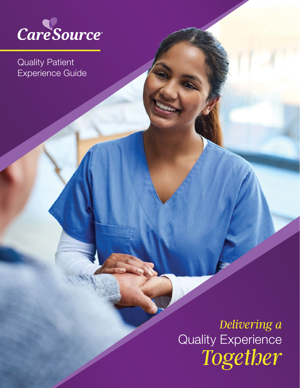

Quality Patient Experience Guide

> Quality Experience *Delivering a Together*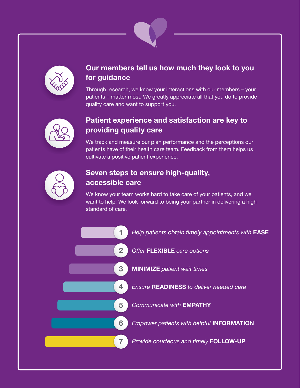



# Our members tell us how much they look to you for guidance

Through research, we know your interactions with our members – your patients – matter most. We greatly appreciate all that you do to provide quality care and want to support you.



# Patient experience and satisfaction are key to providing quality care

We track and measure our plan performance and the perceptions our patients have of their health care team. Feedback from them helps us cultivate a positive patient experience.



# Seven steps to ensure high-quality, accessible care

We know your team works hard to take care of your patients, and we want to help. We look forward to being your partner in delivering a high standard of care.

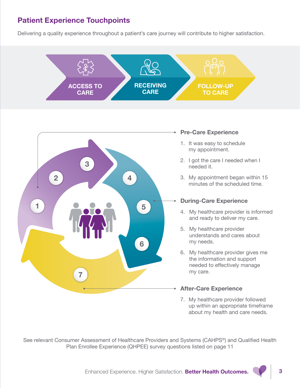# Patient Experience Touchpoints

Delivering a quality experience throughout a patient's care journey will contribute to higher satisfaction.





## Pre-Care Experience

- 1. It was easy to schedule my appointment.
- 2. I got the care I needed when I needed it.
- 3. My appointment began within 15 minutes of the scheduled time.

# During-Care Experience

- 4. My healthcare provider is informed and ready to deliver my care.
- 5. My healthcare provider understands and cares about my needs.
- 6. My healthcare provider gives me the information and support needed to effectively manage my care.

# After-Care Experience

7. My healthcare provider followed up within an appropriate timeframe about my health and care needs.

[See relevant Consumer Assessment of Healthcare Providers and Systems \(CAHPS®](#page-10-0)) and Qualified Health [Plan Enrollee Experience \(QHPEE\) survey questions listed on page 11](#page-10-0)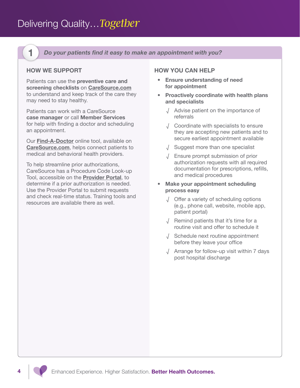<span id="page-3-0"></span>

Do your patients find it easy to make an appointment with you?

# HOW WE SUPPORT

Patients can use the preventive care and screening checklists on [CareSource.com](http://CareSource.com) to understand and keep track of the care they may need to stay healthy.

Patients can work with a CareSource case manager or call Member Services for help with finding a doctor and scheduling an appointment.

Our [Find-A-Doctor](https://findadoctor.caresource.com/) online tool, available on [CareSource.com](http://CareSource.com), helps connect patients to medical and behavioral health providers.

To help streamline prior authorizations, CareSource has a Procedure Code Look-up Tool, accessible on the [Provider Portal](https://providerportal.caresource.com/GL/SelectPlan.aspx), to determine if a prior authorization is needed. Use the Provider Portal to submit requests and check real-time status. Training tools and resources are available there as well.

#### HOW YOU CAN HELP

- Ensure understanding of need for appointment
- Proactively coordinate with health plans and specialists
	- √ Advise patient on the importance of referrals
	- √ Coordinate with specialists to ensure they are accepting new patients and to secure earliest appointment available
	- √ Suggest more than one specialist
	- √ Ensure prompt submission of prior authorization requests with all required documentation for prescriptions, refills, and medical procedures
- Make your appointment scheduling process easy
	- √ Offer a variety of scheduling options (e.g., phone call, website, mobile app, patient portal)
	- √ Remind patients that it's time for a routine visit and offer to schedule it
	- √ Schedule next routine appointment before they leave your office
	- √ Arrange for follow-up visit within 7 days post hospital discharge

Enhanced Experience. Higher Satisfaction. Better Health Outcomes.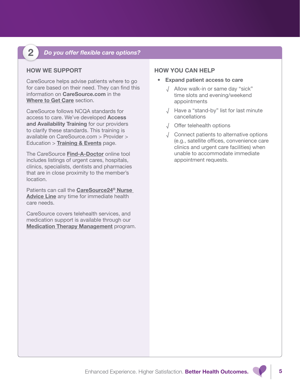<span id="page-4-0"></span>

# 2 Do you offer flexible care options?

# HOW WE SUPPORT

CareSource helps advise patients where to go for care based on their need. They can find this information on [CareSource.com](http://CareSource.com) in the [Where to Get Care](https://www.caresource.com/members/tools-resources/where-to-get-care/) section.

CareSource follows NCQA standards for access to care. We've developed Access and Availability Training for our providers to clarify these standards. This training is available on CareSource.com > Provider > Education  $>$  [Training & Events](https://www.caresource.com/providers/education/training-events/) page.

The CareSource [Find-A-Doctor](https://findadoctor.caresource.com/) online tool includes listings of urgent cares, hospitals, clinics, specialists, dentists and pharmacies that are in close proximity to the member's location.

Patients can call the [CareSource24® Nurse](#page-11-0)  [Advice Line](#page-11-0) any time for immediate health care needs.

CareSource covers telehealth services, and medication support is available through our **[Medication Therapy Management](https://www.caresource.com/members/tools-resources/find-my-prescriptions/medication-therapy-management/) program.** 

- Expand patient access to care
	- √ Allow walk-in or same day "sick" time slots and evening/weekend appointments
	- √ Have a "stand-by" list for last minute cancellations
	- √ Offer telehealth options
	- √ Connect patients to alternative options (e.g., satellite offices, convenience care clinics and urgent care facilities) when unable to accommodate immediate appointment requests.

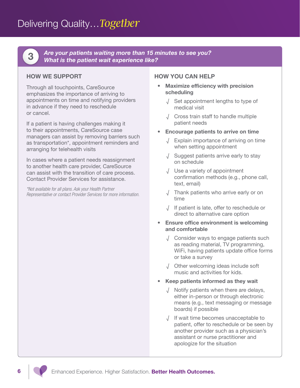<span id="page-5-0"></span>Delivering Quality…*Together*

Are your patients waiting more than 15 minutes to see you?<br>What is the patient wait experience like?

## HOW WE SUPPORT

Through all touchpoints, CareSource emphasizes the importance of arriving to appointments on time and notifying providers in advance if they need to reschedule or cancel.

If a patient is having challenges making it to their appointments, CareSource case managers can assist by removing barriers such as transportation\*, appointment reminders and arranging for telehealth visits

In cases where a patient needs reassignment to another health care provider, CareSource can assist with the transition of care process. Contact Provider Services for assistance.

*\*Not available for all plans. Ask your Health Partner Representative or contact Provider Services for more information.*

- Maximize efficiency with precision scheduling
	- √ Set appointment lengths to type of medical visit
	- √ Cross train staff to handle multiple patient needs
- Encourage patients to arrive on time
	- √ Explain importance of arriving on time when setting appointment
	- √ Suggest patients arrive early to stay on schedule
	- √ Use a variety of appointment confirmation methods (e.g., phone call, text, email)
	- √ Thank patients who arrive early or on time
	- √ If patient is late, offer to reschedule or direct to alternative care option
- Ensure office environment is welcoming and comfortable
	- √ Consider ways to engage patients such as reading material, TV programming, WiFi, having patients update office forms or take a survey
	- √ Other welcoming ideas include soft music and activities for kids.
- Keep patients informed as they wait
	- √ Notify patients when there are delays, either in-person or through electronic means (e.g., text messaging or message boards) if possible
	- √ If wait time becomes unacceptable to patient, offer to reschedule or be seen by another provider such as a physician's assistant or nurse practitioner and apologize for the situation

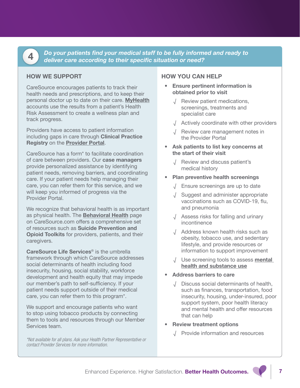<span id="page-6-0"></span>

**EXECUTE FIND STATE IN DO your patients find your medical staff to be fully informed and ready to deliver care according to their specific situation or need?** 

## HOW WE SUPPORT

CareSource encourages patients to track their health needs and prescriptions, and to keep their personal doctor up to date on their care. [MyHealth](https://www.caresource.com/members/education/myhealth/) accounts use the results from a patient's Health Risk Assessment to create a wellness plan and track progress.

Providers have access to patient information including gaps in care through Clinical Practice Registry on the **[Provider Portal](https://providerportal.caresource.com/GL/SelectPlan.aspx)**.

CareSource has a form\* to facilitate coordination of care between providers. Our case managers provide personalized assistance by identifying patient needs, removing barriers, and coordinating care. If your patient needs help managing their care, you can refer them for this service, and we will keep you informed of progress via the Provider Portal.

We recognize that behavioral health is as important as physical health. The **[Behavioral Health](https://www.caresource.com/providers/education/patient-care/behavioral-health/)** page on CareSource.com offers a comprehensive set of resources such as Suicide Prevention and Opioid Toolkits for providers, patients, and their caregivers.

[CareSource Life Services](https://www.caresource.com/members/tools-resources/life-services/)<sup>®</sup> is the umbrella framework through which CareSource addresses social determinants of health including food insecurity, housing, social stability, workforce development and health equity that may impede our member's path to self-sufficiency. If your patient needs support outside of their medical care, you can refer them to this program\*.

We support and encourage patients who want to stop using tobacco products by connecting them to tools and resources through our Member Services team.

*\*Not available for all plans. Ask your Health Partner Representative or contact Provider Services for more information.*

- Ensure pertinent information is obtained prior to visit
	- √ Review patient medications, screenings, treatments and specialist care
	- √ Actively coordinate with other providers
	- √ Review care management notes in the [Provider Portal](https://providerportal.caresource.com/GL/SelectPlan.aspx)
- Ask patients to list key concerns at the start of their visit
	- √ Review and discuss patient's medical history
- Plan preventive health screenings
	- √ Ensure screenings are up to date
	- √ Suggest and administer appropriate vaccinations such as COVID-19, flu, and pneumonia
	- √ Assess risks for falling and urinary incontinence
	- √ Address known health risks such as obesity, tobacco use, and sedentary lifestyle, and provide resources or information to support improvement
	- √ Use screening tools to assess [mental](https://www.samhsa.gov/resource-search/ebp)  [health and substance use](https://www.samhsa.gov/resource-search/ebp)
- Address barriers to care
	- √ Discuss social determinants of health, such as finances, transportation, food insecurity, housing, under-insured, poor support system, poor health literacy and mental health and offer resources that can help
- Review treatment options
	- √ Provide information and resources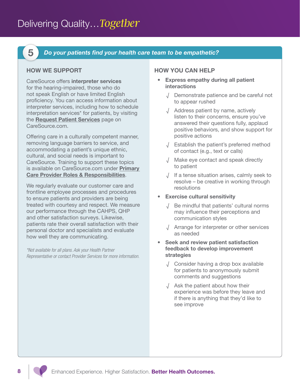<span id="page-7-0"></span>

5 Do your patients find your health care team to be empathetic?

## HOW WE SUPPORT

CareSource offers interpreter services for the hearing-impaired, those who do not speak English or have limited English proficiency. You can access information about interpreter services, including how to schedule interpretation services\* for patients, by visiting the [Request Patient Services](https://www.caresource.com/providers/tools-resources/request-patient-services/) page on CareSource.com.

Offering care in a culturally competent manner, removing language barriers to service, and accommodating a patient's unique ethnic, cultural, and social needs is important to CareSource. Training to support these topics is available on CareSource.com under Primary [Care Provider Roles & Responsibilities](https://www.caresource.com/providers/education/patient-care/pcp-roles-responsibilities/).

We regularly evaluate our customer care and frontline employee processes and procedures to ensure patients and providers are being treated with courtesy and respect. We measure our performance through the CAHPS, QHP and other satisfaction surveys. Likewise, patients rate their overall satisfaction with their personal doctor and specialists and evaluate how well they are communicating.

*\*Not available for all plans. Ask your Health Partner Representative or contact Provider Services for more information.*

#### HOW YOU CAN HELP

- Express empathy during all patient interactions
	- √ Demonstrate patience and be careful not to appear rushed
	- √ Address patient by name, actively listen to their concerns, ensure you've answered their questions fully, applaud positive behaviors, and show support for positive actions
	- √ Establish the patient's preferred method of contact (e.g., text or calls)
	- √ Make eye contact and speak directly to patient
	- √ If a tense situation arises, calmly seek to resolve – be creative in working through resolutions
- Exercise cultural sensitivity
	- √ Be mindful that patients' cultural norms may influence their perceptions and communication styles
	- √ Arrange for interpreter or other services as needed

#### • Seek and review patient satisfaction feedback to develop improvement strategies

- √ Consider having a drop box available for patients to anonymously submit comments and suggestions
- √ Ask the patient about how their experience was before they leave and if there is anything that they'd like to see improve

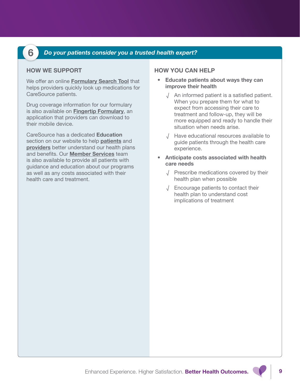# <span id="page-8-0"></span>6 Do your patients consider you a trusted health expert?

# HOW WE SUPPORT

We offer an online **[Formulary Search Tool](https://client.formularynavigator.com/Search.aspx?siteCode=7999071766)** that helps providers quickly look up medications for CareSource patients.

Drug coverage information for our formulary is also available on [Fingertip Formulary](https://lookup.decisionresourcesgroup.com/), an application that providers can download to their mobile device.

CareSource has a dedicated Education section on our website to help **[patients](https://www.caresource.com/members/education/)** and [providers](https://www.caresource.com/providers/education/) better understand our health plans and benefits. Our [Member Services](https://www.caresource.com/members/contact-us/) team is also available to provide all patients with guidance and education about our programs as well as any costs associated with their health care and treatment.

- Educate patients about ways they can improve their health
	- √ An informed patient is a satisfied patient. When you prepare them for what to expect from accessing their care to treatment and follow-up, they will be more equipped and ready to handle their situation when needs arise.
	- √ Have educational resources available to guide patients through the health care experience.
- Anticipate costs associated with health care needs
	- √ Prescribe medications covered by their health plan when possible
	- √ Encourage patients to contact their health plan to understand cost implications of treatment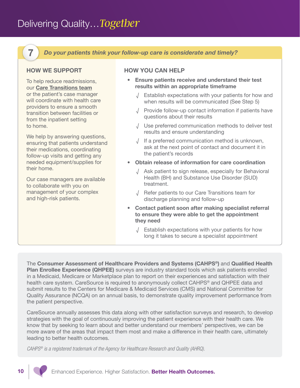# <span id="page-9-0"></span>Delivering Quality…*Together*

7 Do your patients think your follow-up care is considerate and timely?

# HOW WE SUPPORT

To help reduce readmissions, our [Care Transitions team](#page-11-0) or the patient's case manager will coordinate with health care providers to ensure a smooth transition between facilities or from the inpatient setting to home.

We help by answering questions, ensuring that patients understand their medications, coordinating follow-up visits and getting any needed equipment/supplies for their home.

Our case managers are available to collaborate with you on management of your complex and high-risk patients.

# HOW YOU CAN HELP

- Ensure patients receive and understand their test results within an appropriate timeframe
	- √ Establish expectations with your patients for how and when results will be communicated (See Step 5)
	- √ Provide follow-up contact information if patients have questions about their results
	- √ Use preferred communication methods to deliver test results and ensure understanding
	- √ If a preferred communication method is unknown, ask at the next point of contact and document it in the patient's records
- Obtain release of information for care coordination
	- √ Ask patient to sign release, especially for Behavioral Health (BH) and Substance Use Disorder (SUD) treatment.
	- √ Refer patients to our Care Transitions team for discharge planning and follow-up
- Contact patient soon after making specialist referral to ensure they were able to get the appointment they need
	- √ Establish expectations with your patients for how long it takes to secure a specialist appointment

The Consumer Assessment of Healthcare Providers and Systems (CAHPS®) and Qualified Health Plan Enrollee Experience (QHPEE) surveys are industry standard tools which ask patients enrolled in a Medicaid, Medicare or Marketplace plan to report on their experiences and satisfaction with their health care system. CareSource is required to anonymously collect CAHPS<sup>®</sup> and QHPEE data and submit results to the Centers for Medicare & Medicaid Services (CMS) and National Committee for Quality Assurance (NCQA) on an annual basis, to demonstrate quality improvement performance from the patient perspective.

CareSource annually assesses this data along with other satisfaction surveys and research, to develop strategies with the goal of continuously improving the patient experience with their health care. We know that by seeking to learn about and better understand our members' perspectives, we can be more aware of the areas that impact them most and make a difference in their health care, ultimately leading to better health outcomes.

*CAHPS® is a registered trademark of the Agency for Healthcare Research and Quality (AHRQ).*

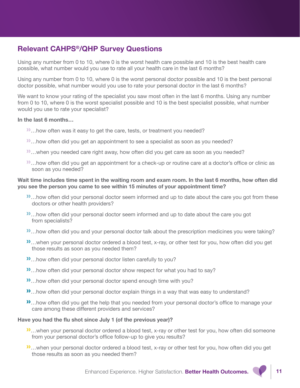# <span id="page-10-0"></span>Relevant CAHPS®/QHP Survey Questions

Using any number from 0 to 10, where 0 is the worst health care possible and 10 is the best health care possible, what number would you use to rate all your health care in the last 6 months?

Using any number from 0 to 10, where 0 is the worst personal doctor possible and 10 is the best personal doctor possible, what number would you use to rate your personal doctor in the last 6 months?

We want to know your rating of the specialist you saw most often in the last 6 months. Using any number from 0 to 10, where 0 is the worst specialist possible and 10 is the best specialist possible, what number would you use to rate your specialist?

#### In the last 6 months…

- »…how often was it easy to get the care, tests, or treatment you needed?
- »…how often did you get an appointment to see a specialist as soon as you needed?
- »…when you needed care right away, how often did you get care as soon as you needed?
- »…how often did you get an appointment for a check-up or routine care at a doctor's office or clinic as soon as you needed?

#### Wait time includes time spent in the waiting room and exam room. In the last 6 months, how often did you see the person you came to see within 15 minutes of your appointment time?

- »…how often did your personal doctor seem informed and up to date about the care you got from these doctors or other health providers?
- »…how often did your personal doctor seem informed and up to date about the care you got from specialists?
- »…how often did you and your personal doctor talk about the prescription medicines you were taking?
- »…when your personal doctor ordered a blood test, x-ray, or other test for you, how often did you get those results as soon as you needed them?
- »…how often did your personal doctor listen carefully to you?
- »…how often did your personal doctor show respect for what you had to say?
- »…how often did your personal doctor spend enough time with you?
- »…how often did your personal doctor explain things in a way that was easy to understand?
- »…how often did you get the help that you needed from your personal doctor's office to manage your care among these different providers and services?

#### Have you had the flu shot since July 1 (of the previous year)?

- »…when your personal doctor ordered a blood test, x-ray or other test for you, how often did someone from your personal doctor's office follow-up to give you results?
- »…when your personal doctor ordered a blood test, x-ray or other test for you, how often did you get those results as soon as you needed them?